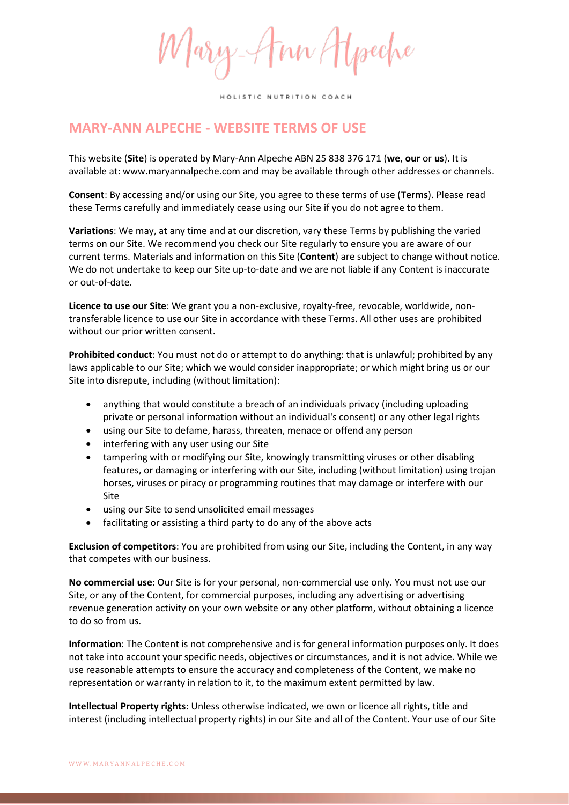Mary-Ann Hypeche

## **MARY-ANN ALPECHE - WEBSITE TERMS OF USE**

This website (**Site**) is operated by Mary-Ann Alpeche ABN 25 838 376 171 (**we**, **our** or **us**). It is available at: www.maryannalpeche.com and may be available through other addresses or channels.

**Consent**: By accessing and/or using our Site, you agree to these terms of use (**Terms**). Please read these Terms carefully and immediately cease using our Site if you do not agree to them.

**Variations**: We may, at any time and at our discretion, vary these Terms by publishing the varied terms on our Site. We recommend you check our Site regularly to ensure you are aware of our current terms. Materials and information on this Site (**Content**) are subject to change without notice. We do not undertake to keep our Site up-to-date and we are not liable if any Content is inaccurate or out-of-date.

**Licence to use our Site**: We grant you a non-exclusive, royalty-free, revocable, worldwide, nontransferable licence to use our Site in accordance with these Terms. All other uses are prohibited without our prior written consent.

**Prohibited conduct**: You must not do or attempt to do anything: that is unlawful; prohibited by any laws applicable to our Site; which we would consider inappropriate; or which might bring us or our Site into disrepute, including (without limitation):

- anything that would constitute a breach of an individuals privacy (including uploading private or personal information without an individual's consent) or any other legal rights
- using our Site to defame, harass, threaten, menace or offend any person
- interfering with any user using our Site
- tampering with or modifying our Site, knowingly transmitting viruses or other disabling features, or damaging or interfering with our Site, including (without limitation) using trojan horses, viruses or piracy or programming routines that may damage or interfere with our Site
- using our Site to send unsolicited email messages
- facilitating or assisting a third party to do any of the above acts

**Exclusion of competitors**: You are prohibited from using our Site, including the Content, in any way that competes with our business.

**No commercial use**: Our Site is for your personal, non-commercial use only. You must not use our Site, or any of the Content, for commercial purposes, including any advertising or advertising revenue generation activity on your own website or any other platform, without obtaining a licence to do so from us.

**Information**: The Content is not comprehensive and is for general information purposes only. It does not take into account your specific needs, objectives or circumstances, and it is not advice. While we use reasonable attempts to ensure the accuracy and completeness of the Content, we make no representation or warranty in relation to it, to the maximum extent permitted by law.

**Intellectual Property rights**: Unless otherwise indicated, we own or licence all rights, title and interest (including intellectual property rights) in our Site and all of the Content. Your use of our Site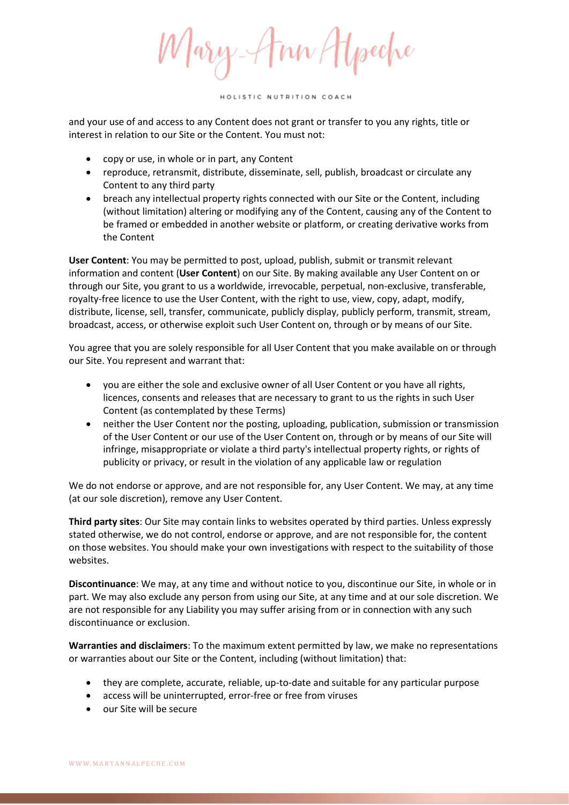Mary-Am Atpeche

and your use of and access to any Content does not grant or transfer to you any rights, title or interest in relation to our Site or the Content. You must not:

- copy or use, in whole or in part, any Content
- reproduce, retransmit, distribute, disseminate, sell, publish, broadcast or circulate any Content to any third party
- breach any intellectual property rights connected with our Site or the Content, including (without limitation) altering or modifying any of the Content, causing any of the Content to be framed or embedded in another website or platform, or creating derivative works from the Content

**User Content**: You may be permitted to post, upload, publish, submit or transmit relevant information and content (**User Content**) on our Site. By making available any User Content on or through our Site, you grant to us a worldwide, irrevocable, perpetual, non-exclusive, transferable, royalty-free licence to use the User Content, with the right to use, view, copy, adapt, modify, distribute, license, sell, transfer, communicate, publicly display, publicly perform, transmit, stream, broadcast, access, or otherwise exploit such User Content on, through or by means of our Site.

You agree that you are solely responsible for all User Content that you make available on or through our Site. You represent and warrant that:

- you are either the sole and exclusive owner of all User Content or you have all rights, licences, consents and releases that are necessary to grant to us the rights in such User Content (as contemplated by these Terms)
- neither the User Content nor the posting, uploading, publication, submission or transmission of the User Content or our use of the User Content on, through or by means of our Site will infringe, misappropriate or violate a third party's intellectual property rights, or rights of publicity or privacy, or result in the violation of any applicable law or regulation

We do not endorse or approve, and are not responsible for, any User Content. We may, at any time (at our sole discretion), remove any User Content.

**Third party sites**: Our Site may contain links to websites operated by third parties. Unless expressly stated otherwise, we do not control, endorse or approve, and are not responsible for, the content on those websites. You should make your own investigations with respect to the suitability of those websites.

**Discontinuance**: We may, at any time and without notice to you, discontinue our Site, in whole or in part. We may also exclude any person from using our Site, at any time and at our sole discretion. We are not responsible for any Liability you may suffer arising from or in connection with any such discontinuance or exclusion.

**Warranties and disclaimers**: To the maximum extent permitted by law, we make no representations or warranties about our Site or the Content, including (without limitation) that:

- they are complete, accurate, reliable, up-to-date and suitable for any particular purpose
- access will be uninterrupted, error-free or free from viruses
- our Site will be secure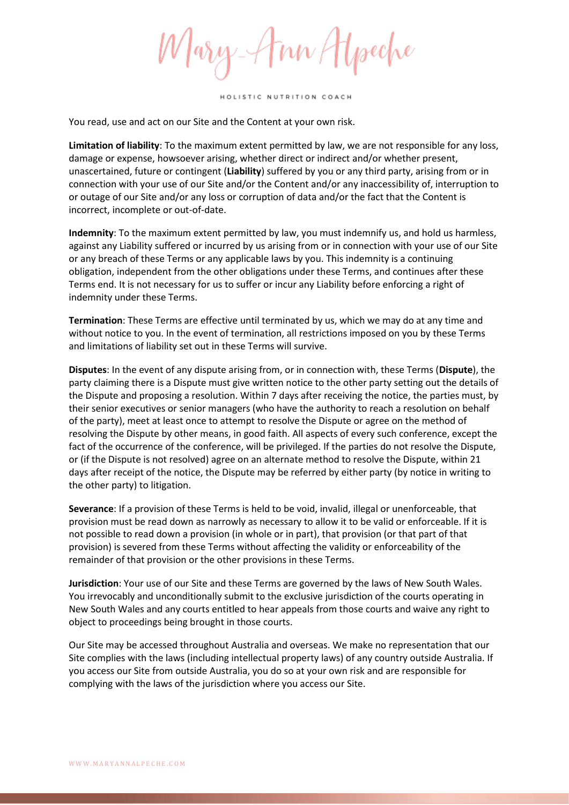Mary-Ann Hyseche

You read, use and act on our Site and the Content at your own risk.

**Limitation of liability**: To the maximum extent permitted by law, we are not responsible for any loss, damage or expense, howsoever arising, whether direct or indirect and/or whether present, unascertained, future or contingent (**Liability**) suffered by you or any third party, arising from or in connection with your use of our Site and/or the Content and/or any inaccessibility of, interruption to or outage of our Site and/or any loss or corruption of data and/or the fact that the Content is incorrect, incomplete or out-of-date.

**Indemnity**: To the maximum extent permitted by law, you must indemnify us, and hold us harmless, against any Liability suffered or incurred by us arising from or in connection with your use of our Site or any breach of these Terms or any applicable laws by you. This indemnity is a continuing obligation, independent from the other obligations under these Terms, and continues after these Terms end. It is not necessary for us to suffer or incur any Liability before enforcing a right of indemnity under these Terms.

**Termination**: These Terms are effective until terminated by us, which we may do at any time and without notice to you. In the event of termination, all restrictions imposed on you by these Terms and limitations of liability set out in these Terms will survive.

**Disputes**: In the event of any dispute arising from, or in connection with, these Terms (**Dispute**), the party claiming there is a Dispute must give written notice to the other party setting out the details of the Dispute and proposing a resolution. Within 7 days after receiving the notice, the parties must, by their senior executives or senior managers (who have the authority to reach a resolution on behalf of the party), meet at least once to attempt to resolve the Dispute or agree on the method of resolving the Dispute by other means, in good faith. All aspects of every such conference, except the fact of the occurrence of the conference, will be privileged. If the parties do not resolve the Dispute, or (if the Dispute is not resolved) agree on an alternate method to resolve the Dispute, within 21 days after receipt of the notice, the Dispute may be referred by either party (by notice in writing to the other party) to litigation.

**Severance**: If a provision of these Terms is held to be void, invalid, illegal or unenforceable, that provision must be read down as narrowly as necessary to allow it to be valid or enforceable. If it is not possible to read down a provision (in whole or in part), that provision (or that part of that provision) is severed from these Terms without affecting the validity or enforceability of the remainder of that provision or the other provisions in these Terms.

**Jurisdiction**: Your use of our Site and these Terms are governed by the laws of New South Wales. You irrevocably and unconditionally submit to the exclusive jurisdiction of the courts operating in New South Wales and any courts entitled to hear appeals from those courts and waive any right to object to proceedings being brought in those courts.

Our Site may be accessed throughout Australia and overseas. We make no representation that our Site complies with the laws (including intellectual property laws) of any country outside Australia. If you access our Site from outside Australia, you do so at your own risk and are responsible for complying with the laws of the jurisdiction where you access our Site.